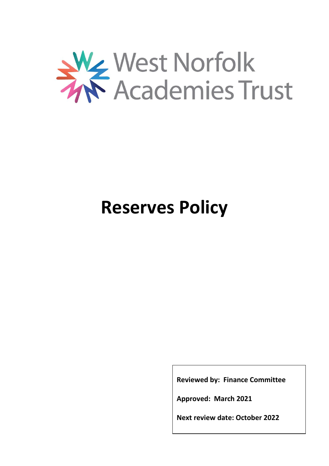

## **Reserves Policy**

**Reviewed by: Finance Committee**

**Approved: March 2021**

**Next review date: October 2022**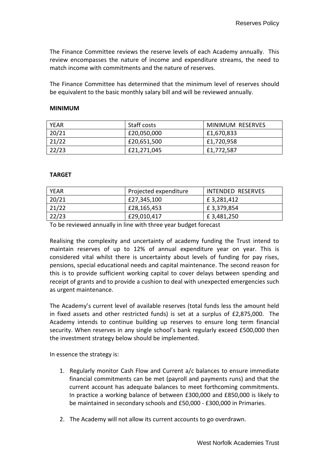The Finance Committee reviews the reserve levels of each Academy annually. This review encompasses the nature of income and expenditure streams, the need to match income with commitments and the nature of reserves.

The Finance Committee has determined that the minimum level of reserves should be equivalent to the basic monthly salary bill and will be reviewed annually.

## **MINIMUM**

| YEAR  | Staff costs | MINIMUM RESERVES |
|-------|-------------|------------------|
| 20/21 | £20,050,000 | £1,670,833       |
| 21/22 | £20,651,500 | £1,720,958       |
| 22/23 | £21,271,045 | £1,772,587       |

## **TARGET**

| YEAR  | Projected expenditure | INTENDED RESERVES |
|-------|-----------------------|-------------------|
| 20/21 | £27,345,100           | £3,281,412        |
| 21/22 | £28,165,453           | £3,379,854        |
| 22/23 | £29,010,417           | £3,481,250        |

To be reviewed annually in line with three year budget forecast

Realising the complexity and uncertainty of academy funding the Trust intend to maintain reserves of up to 12% of annual expenditure year on year. This is considered vital whilst there is uncertainty about levels of funding for pay rises, pensions, special educational needs and capital maintenance. The second reason for this is to provide sufficient working capital to cover delays between spending and receipt of grants and to provide a cushion to deal with unexpected emergencies such as urgent maintenance.

The Academy's current level of available reserves (total funds less the amount held in fixed assets and other restricted funds) is set at a surplus of £2,875,000. The Academy intends to continue building up reserves to ensure long term financial security. When reserves in any single school's bank regularly exceed £500,000 then the investment strategy below should be implemented.

In essence the strategy is:

- 1. Regularly monitor Cash Flow and Current a/c balances to ensure immediate financial commitments can be met (payroll and payments runs) and that the current account has adequate balances to meet forthcoming commitments. In practice a working balance of between £300,000 and £850,000 is likely to be maintained in secondary schools and £50,000 - £300,000 in Primaries.
- 2. The Academy will not allow its current accounts to go overdrawn.